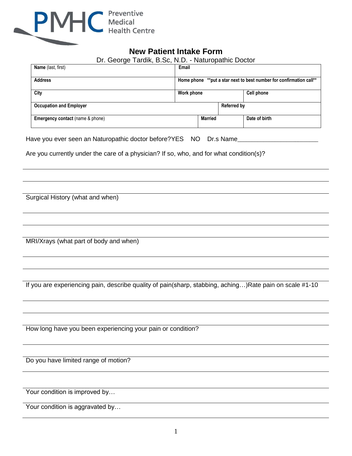

# **New Patient Intake Form**

| Dr. George Tardik, B.Sc, N.D. - Naturopathic Doctor |
|-----------------------------------------------------|
|-----------------------------------------------------|

| Name (last, first)               | Email      |                |                    |                                                                     |
|----------------------------------|------------|----------------|--------------------|---------------------------------------------------------------------|
| <b>Address</b>                   |            |                |                    | Home phone **put a star next to best number for confirmation call** |
| City                             | Work phone |                |                    | Cell phone                                                          |
| <b>Occupation and Employer</b>   |            |                | <b>Referred by</b> |                                                                     |
| Emergency contact (name & phone) |            | <b>Married</b> |                    | Date of birth                                                       |

Have you ever seen an Naturopathic doctor before?YES NO Dr.s Name\_\_\_\_\_\_\_\_\_\_\_\_\_

Are you currently under the care of a physician? If so, who, and for what condition(s)?

Surgical History (what and when)

MRI/Xrays (what part of body and when)

If you are experiencing pain, describe quality of pain(sharp, stabbing, aching…)Rate pain on scale #1-10

How long have you been experiencing your pain or condition?

Do you have limited range of motion?

Your condition is improved by...

Your condition is aggravated by...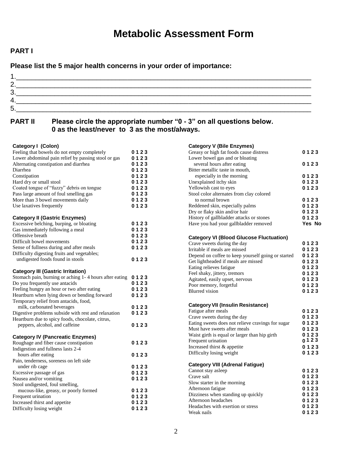# **Metabolic Assessment Form**

## **PART I**

**Please list the 5 major health concerns in your order of importance:** 

| r |  |  |
|---|--|--|
| ╭ |  |  |
|   |  |  |
| ∽ |  |  |

## **PART II Please circle the appropriate number "0 - 3" on all questions below. 0 as the least/never to 3 as the most/always.**

#### **Category I (Colon)**

| Calegory i (Colon)                                     |      |
|--------------------------------------------------------|------|
| Feeling that bowels do not empty completely            | 0123 |
| Lower abdominal pain relief by passing stool or gas    | 0123 |
| Alternating constipation and diarrhea                  | 0123 |
| Diarrhea                                               | 0123 |
| Constipation                                           | 0123 |
| Hard dry or small stool                                | 0123 |
| Coated tongue of "fuzzy" debris on tongue              | 0123 |
| Pass large amount of foul smelling gas                 | 0123 |
| More than 3 bowel movements daily                      | 0123 |
| Use laxatives frequently                               | 0123 |
| <b>Category II (Gastric Enzymes)</b>                   |      |
| Excessive belching, burping, or bloating               | 0123 |
| Gas immediately following a meal                       | 0123 |
| Offensive breath                                       | 0123 |
| Difficult bowel movements                              | 0123 |
| Sense of fullness during and after meals               | 0123 |
| Difficulty digesting fruits and vegetables;            |      |
| undigested foods found in stools                       | 0123 |
| <b>Category III (Gastric Irritation)</b>               |      |
| Stomach pain, burning or aching 1-4 hours after eating | 0123 |
| Do you frequently use antacids                         | 0123 |
| Feeling hungry an hour or two after eating             | 0123 |
| Heartburn when lying down or bending forward           | 0123 |
| Temporary relief from antacids, food,                  |      |
| milk, carbonated beverages                             | 0123 |
| Digestive problems subside with rest and relaxation    | 0123 |
| Heartburn due to spicy foods, chocolate, citrus,       |      |
| peppers, alcohol, and caffeine                         | 0123 |
| <b>Category IV (Pancreatic Enzymes)</b>                |      |
| Roughage and fiber cause constipation                  | 0123 |
| Indigestion and fullness lasts 2-4                     |      |
| hours after eating                                     | 0123 |
| Pain, tenderness, soreness on left side                |      |
| under rib cage                                         | 0123 |
| Excessive passage of gas                               | 0123 |
| Nausea and/or vomiting                                 | 0123 |
| Stool undigested, foul smelling,                       |      |
| mucous-like, greasy, or poorly formed                  | 0123 |
| Frequent urination                                     | 0123 |
| Increased thirst and appetite                          | 0123 |
| Difficulty losing weight                               | 0123 |

| <b>Category V (Bile Enzymes)</b>                   |        |
|----------------------------------------------------|--------|
| Greasy or high fat foods cause distress            | 0123   |
| Lower bowel gas and or bloating                    |        |
| several hours after eating                         | 0123   |
| Bitter metallic taste in mouth,                    |        |
| especially in the morning                          | 0123   |
| Unexplained itchy skin                             | 0123   |
| Yellowish cast to eyes                             | 0123   |
| Stool color alternates from clay colored           |        |
| to normal brown                                    | 0123   |
| Reddened skin, especially palms                    | 0123   |
| Dry or flaky skin and/or hair                      | 0123   |
| History of gallbladder attacks or stones           | 0123   |
| Have you had your gallbladder removed              | Yes No |
| <b>Category VI (Blood Glucose Fluctuation)</b>     |        |
| Crave sweets during the day                        | 0123   |
| Irritable if meals are missed                      | 0123   |
| Depend on coffee to keep yourself going or started | 0123   |
| Get lightheaded if meals are missed                | 0123   |
| Eating relieves fatigue                            | 0123   |
| Feel shaky, jittery, tremors                       | 0123   |
| Agitated, easily upset, nervous                    | 0123   |
| Poor memory, forgetful                             | 0123   |
| <b>Blurred</b> vision                              | 0123   |
| <b>Category VII (Insulin Resistance)</b>           |        |
| Fatigue after meals                                | 0123   |
| Crave sweets during the day                        | 0123   |
| Eating sweets does not relieve cravings for sugar  | 0123   |
| Must have sweets after meals                       | 0123   |
| Waist girth is equal or larger than hip girth      | 0123   |
| Frequent urination                                 | 0123   |
| Increased thirst & appetite                        | 0123   |
| Difficulty losing weight                           | 0123   |
| <b>Category VIII (Adrenal Fatigue)</b>             |        |
| Cannot stay asleep                                 | 0123   |
| Crave salt                                         | 0123   |
| Slow starter in the morning                        | 0123   |
| Afternoon fatigue                                  | 0123   |
| Dizziness when standing up quickly                 | 0123   |
| Afternoon headaches                                | 0123   |
| Headaches with exertion or stress                  | 0123   |
| Weak nails                                         | 0123   |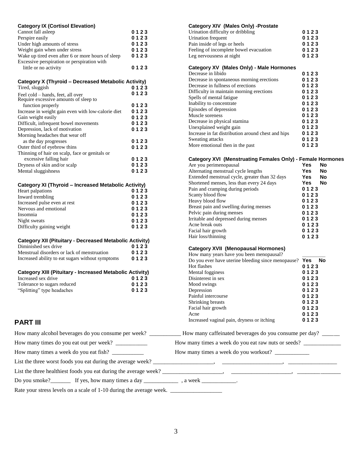| <b>Category IX (Cortisol Elevation)</b>                                                          |              | <b>Category XIV (Males Only) -Prostate</b>                                            |                   |           |
|--------------------------------------------------------------------------------------------------|--------------|---------------------------------------------------------------------------------------|-------------------|-----------|
| Cannot fall asleep                                                                               | 0123         | Urination difficulty or dribbling                                                     | 0123              |           |
| Perspire easily                                                                                  | 0123         | Urination frequent                                                                    | 0123              |           |
| Under high amounts of stress                                                                     | 0123         | Pain inside of legs or heels                                                          | 0123              |           |
| Weight gain when under stress                                                                    | 0123         | Feeling of incomplete bowel evacuation                                                | 0123              |           |
| Wake up tired even after 6 or more hours of sleep<br>Excessive perspiration or perspiration with | 0123         | Leg nervousness at night                                                              | 0123              |           |
| little or no activity                                                                            | 0123         | Category XV (Males Only) - Male Hormones                                              |                   |           |
|                                                                                                  |              | Decrease in libido                                                                    | 0123              |           |
| Category X (Thyroid - Decreased Metabolic Activity)                                              |              | Decrease in spontaneous morning erections<br>Decrease in fullness of erections        | 0123<br>0123      |           |
| Tired, sluggish                                                                                  | 0123         | Difficulty in maintain morning erections                                              | 0123              |           |
| Feel cold - hands, feet, all over                                                                | 0123         | Spells of mental fatigue                                                              | 0123              |           |
| Require excessive amounts of sleep to<br>function properly                                       | 0123         | Inability to concentrate                                                              | 0123              |           |
| Increase in weight gain even with low-calorie diet                                               | 0123         | Episodes of depression                                                                | 0123              |           |
| Gain weight easily                                                                               | 0123         | Muscle soreness                                                                       | 0123              |           |
| Difficult, infrequent bowel movements                                                            | 0123         | Decrease in physical stamina                                                          | 0123              |           |
| Depression, lack of motivation                                                                   | 0123         | Unexplained weight gain                                                               | 0123              |           |
| Morning headaches that wear off                                                                  |              | Increase in fat distribution around chest and hips                                    | 0123              |           |
| as the day progresses                                                                            | 0123         | Sweating attacks                                                                      | 0123              |           |
| Outer third of eyebrow thins                                                                     | 0123         | More emotional then in the past                                                       | 0123              |           |
| Thinning of hair on scalp, face or genitals or                                                   |              |                                                                                       |                   |           |
| excessive falling hair                                                                           | 0123         | <b>Category XVI (Menstruating Females Only) - Female Hormones</b>                     |                   |           |
| Dryness of skin and/or scalp                                                                     | 0123         | Are you perimenopausal                                                                | Yes               | No        |
| Mental sluggishness                                                                              | 0123         | Alternating menstrual cycle lengths<br>Extended menstrual cycle, greater than 32 days | Yes<br><b>Yes</b> | No<br>No  |
|                                                                                                  |              | Shortened menses, less than every 24 days                                             | <b>Yes</b>        | <b>No</b> |
| <b>Category XI (Thyroid - Increased Metabolic Activity)</b>                                      |              | Pain and cramping during periods                                                      | 0123              |           |
| Heart palpations                                                                                 | 0123<br>0123 | Scanty blood flow                                                                     | 0123              |           |
| Inward trembling<br>Increased pulse even at rest                                                 | 0123         | Heavy blood flow                                                                      | 0123              |           |
| Nervous and emotional                                                                            | 0123         | Breast pain and swelling during menses                                                | 0123              |           |
| Insomnia                                                                                         | 0123         | Pelvic pain during menses                                                             | 0123              |           |
| Night sweats                                                                                     | 0123         | Irritable and depressed during menses                                                 | 0123              |           |
| Difficulty gaining weight                                                                        | 0123         | Acne break outs                                                                       | 0123              |           |
|                                                                                                  |              | Facial hair growth                                                                    | 0123              |           |
| <b>Category XII (Pituitary - Decreased Metabolic Activity)</b>                                   |              | Hair loss/thinning                                                                    | 0123              |           |
| Diminished sex drive                                                                             | 0123         | <b>Category XVII (Menopausal Hormones)</b>                                            |                   |           |
| Menstrual disorders or lack of menstruation                                                      | 0123         | How many years have you been menopausal?                                              |                   |           |
| Increased ability to eat sugars without symptoms                                                 | 0123         | Do you ever have uterine bleeding since menopause? Yes                                |                   | <b>No</b> |
|                                                                                                  |              | Hot flashes                                                                           | 0123              |           |
| <b>Category XIII (Pituitary - Increased Metabolic Activity)</b>                                  |              | Mental fogginess                                                                      | 0123              |           |
| Increased sex drive                                                                              | 0123         | Disinterest in sex                                                                    | 0123              |           |
| Tolerance to sugars reduced                                                                      | 0123         | Mood swings                                                                           | 0123              |           |
| "Splitting" type headaches                                                                       | 0123         | Depression                                                                            | 0123              |           |
|                                                                                                  |              | Painful intercourse                                                                   | 0123              |           |
|                                                                                                  |              | Shrinking breasts<br>Facial hair growth                                               | 0123<br>0123      |           |
|                                                                                                  |              | Acne                                                                                  | 0123              |           |
| <b>PART III</b>                                                                                  |              | Increased vaginal pain, dryness or itching                                            | 0123              |           |
|                                                                                                  |              |                                                                                       |                   |           |
| How many times do you eat out per week?                                                          |              | How many times a week do you eat raw nuts or seeds?                                   |                   |           |
| How many times a week do you eat fish? _____________                                             |              | How many times a week do you workout?                                                 |                   |           |
|                                                                                                  |              |                                                                                       |                   |           |
|                                                                                                  |              |                                                                                       |                   |           |
|                                                                                                  |              |                                                                                       |                   |           |

Rate your stress levels on a scale of 1-10 during the average week. \_\_\_\_\_\_\_\_\_\_\_\_\_\_\_\_\_\_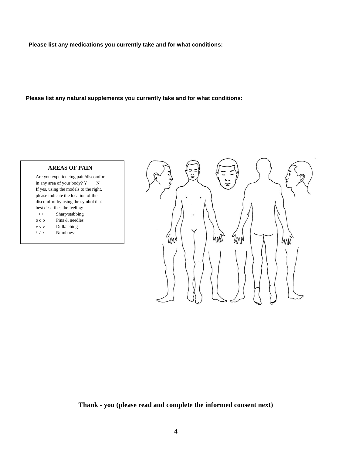**Please list any medications you currently take and for what conditions:** 

**Please list any natural supplements you currently take and for what conditions:** 

## **AREAS OF PAIN**

Are you experiencing pain/discomfort in any area of your body?  $Y$  N If yes, using the models to the right, please indicate the location of the discomfort by using the symbol that best describes the feeling: +++ Sharp/stabbing o o o Pins & needles v v v Dull/aching / / / Numbness



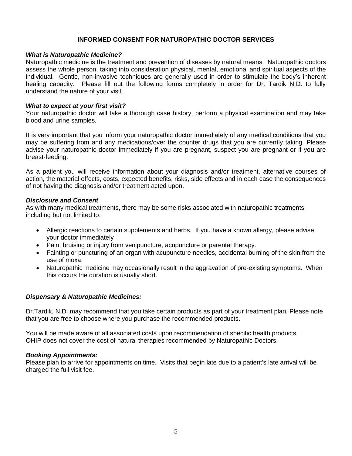#### **INFORMED CONSENT FOR NATUROPATHIC DOCTOR SERVICES**

#### *What is Naturopathic Medicine?*

Naturopathic medicine is the treatment and prevention of diseases by natural means. Naturopathic doctors assess the whole person, taking into consideration physical, mental, emotional and spiritual aspects of the individual. Gentle, non-invasive techniques are generally used in order to stimulate the body's inherent healing capacity. Please fill out the following forms completely in order for Dr. Tardik N.D. to fully understand the nature of your visit.

#### *What to expect at your first visit?*

Your naturopathic doctor will take a thorough case history, perform a physical examination and may take blood and urine samples.

It is very important that you inform your naturopathic doctor immediately of any medical conditions that you may be suffering from and any medications/over the counter drugs that you are currently taking. Please advise your naturopathic doctor immediately if you are pregnant, suspect you are pregnant or if you are breast-feeding.

As a patient you will receive information about your diagnosis and/or treatment, alternative courses of action, the material effects, costs, expected benefits, risks, side effects and in each case the consequences of not having the diagnosis and/or treatment acted upon.

#### *Disclosure and Consent*

As with many medical treatments, there may be some risks associated with naturopathic treatments, including but not limited to:

- Allergic reactions to certain supplements and herbs. If you have a known allergy, please advise your doctor immediately
- Pain, bruising or injury from venipuncture, acupuncture or parental therapy.
- Fainting or puncturing of an organ with acupuncture needles, accidental burning of the skin from the use of moxa.
- Naturopathic medicine may occasionally result in the aggravation of pre-existing symptoms. When this occurs the duration is usually short.

#### *Dispensary & Naturopathic Medicines:*

Dr.Tardik, N.D. may recommend that you take certain products as part of your treatment plan. Please note that you are free to choose where you purchase the recommended products.

You will be made aware of all associated costs upon recommendation of specific health products. OHIP does not cover the cost of natural therapies recommended by Naturopathic Doctors.

#### *Booking Appointments:*

Please plan to arrive for appointments on time. Visits that begin late due to a patient's late arrival will be charged the full visit fee.